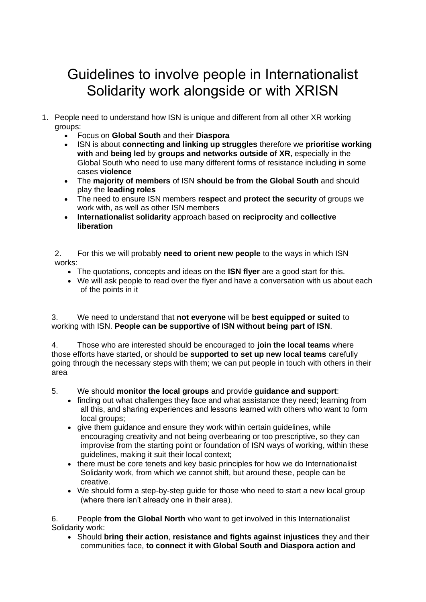## Guidelines to involve people in Internationalist Solidarity work alongside or with XRISN

- 1. People need to understand how ISN is unique and different from all other XR working groups:
	- Focus on **Global South** and their **Diaspora**
	- ISN is about **connecting and linking up struggles** therefore we **prioritise working with** and **being led** by **groups and networks outside of XR**, especially in the Global South who need to use many different forms of resistance including in some cases **violence**
	- The **majority of members** of ISN **should be from the Global South** and should play the **leading roles**
	- The need to ensure ISN members **respect** and **protect the security** of groups we work with, as well as other ISN members
	- **Internationalist solidarity** approach based on **reciprocity** and **collective liberation**

2. For this we will probably **need to orient new people** to the ways in which ISN works:

- The quotations, concepts and ideas on the **ISN flyer** are a good start for this.
- We will ask people to read over the flyer and have a conversation with us about each of the points in it

3. We need to understand that **not everyone** will be **best equipped or suited** to working with ISN. **People can be supportive of ISN without being part of ISN**.

4. Those who are interested should be encouraged to **join the local teams** where those efforts have started, or should be **supported to set up new local teams** carefully going through the necessary steps with them; we can put people in touch with others in their area

5. We should **monitor the local groups** and provide **guidance and support**:

- finding out what challenges they face and what assistance they need; learning from all this, and sharing experiences and lessons learned with others who want to form local groups;
- give them guidance and ensure they work within certain guidelines, while encouraging creativity and not being overbearing or too prescriptive, so they can improvise from the starting point or foundation of ISN ways of working, within these guidelines, making it suit their local context;
- there must be core tenets and key basic principles for how we do Internationalist Solidarity work, from which we cannot shift, but around these, people can be creative.
- We should form a step-by-step guide for those who need to start a new local group (where there isn't already one in their area).

6. People **from the Global North** who want to get involved in this Internationalist Solidarity work:

• Should **bring their action**, **resistance and fights against injustices** they and their communities face, **to connect it with Global South and Diaspora action and**